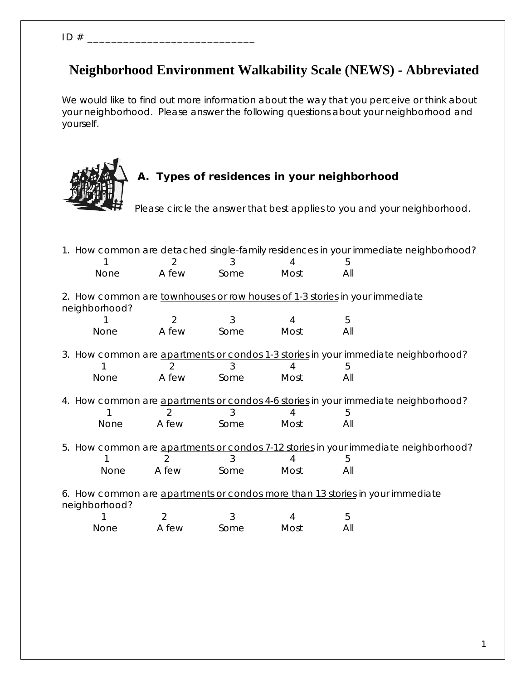ID # \_\_\_\_\_\_\_\_\_\_\_\_\_\_\_\_\_\_\_\_\_\_\_\_\_\_\_\_

## **Neighborhood Environment Walkability Scale (NEWS) - Abbreviated**

*We would like to find out more information about the way that you perceive or think about your neighborhood. Please answer the following questions about your neighborhood and yourself.* 



# **A. Types of residences in your neighborhood**

*Please circle the answer that best applies to you and your neighborhood.* 

| 1. How common are detached single-family residences in your immediate neighborhood? |                |      |      |     |                                                                                     |
|-------------------------------------------------------------------------------------|----------------|------|------|-----|-------------------------------------------------------------------------------------|
|                                                                                     |                |      |      | 5   |                                                                                     |
| <b>None</b>                                                                         | A few          | Some | Most | All |                                                                                     |
|                                                                                     |                |      |      |     |                                                                                     |
| 2. How common are townhouses or row houses of 1-3 stories in your immediate         |                |      |      |     |                                                                                     |
| neighborhood?                                                                       |                |      |      |     |                                                                                     |
|                                                                                     | 2              | 3    |      | 5   |                                                                                     |
| <b>None</b>                                                                         | A few          | Some | Most | All |                                                                                     |
|                                                                                     |                |      |      |     |                                                                                     |
|                                                                                     |                |      |      |     | 3. How common are apartments or condos 1-3 stories in your immediate neighborhood?  |
|                                                                                     | 2              |      |      | 5   |                                                                                     |
| None                                                                                | A few          | Some | Most | All |                                                                                     |
|                                                                                     |                |      |      |     |                                                                                     |
|                                                                                     |                |      |      |     | 4. How common are apartments or condos 4-6 stories in your immediate neighborhood?  |
|                                                                                     |                |      |      | 5   |                                                                                     |
| None                                                                                | A few          | Some | Most | All |                                                                                     |
|                                                                                     |                |      |      |     |                                                                                     |
|                                                                                     |                |      |      |     | 5. How common are apartments or condos 7-12 stories in your immediate neighborhood? |
|                                                                                     |                |      |      | 5   |                                                                                     |
| <b>None</b>                                                                         | A few          | Some | Most | All |                                                                                     |
|                                                                                     |                |      |      |     |                                                                                     |
| 6. How common are apartments or condos more than 13 stories in your immediate       |                |      |      |     |                                                                                     |
| neighborhood?                                                                       |                |      |      |     |                                                                                     |
|                                                                                     | $\overline{2}$ | 3    | 4    | 5   |                                                                                     |
| <b>None</b>                                                                         | A few          | Some | Most | All |                                                                                     |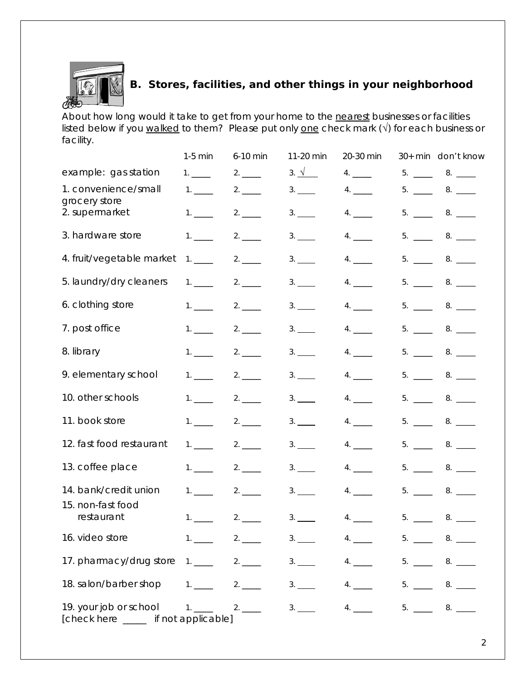

## **B. Stores, facilities, and other things in your neighborhood**

*About how long would it take to get from your home to the nearest businesses or facilities listed below if you walked to them? Please put only one check mark (√) for each business or facility.*

|                                                                                                  | $1-5$ min            | 6-10 min | 11-20 min     | 20-30 min |                  | 30+ min don't know  |
|--------------------------------------------------------------------------------------------------|----------------------|----------|---------------|-----------|------------------|---------------------|
| example: gas station                                                                             |                      |          | 3. $\sqrt{ }$ | 4.        | $5. \_$          | 8.                  |
| 1. convenience/small                                                                             | 1.                   | 2.       | 3.            | 4.        | 5. $\frac{1}{2}$ |                     |
| grocery store<br>2. supermarket                                                                  | $1.$ $\qquad \qquad$ |          | 3.            | 4.        | 5.               | 8.                  |
| 3. hardware store                                                                                | 1.                   |          | 3.            | 4.        |                  | $5. \_ \_ 8. \_ \_$ |
| 4. fruit/vegetable market                                                                        | 1.                   | 2.       | 3.            | 4.        |                  | $5.$ $8.$ $200$     |
| 5. laundry/dry cleaners                                                                          | 1.                   |          | 3.            | 4.        |                  | $5. \_ 8. \_$       |
| 6. clothing store                                                                                | 1.                   |          | 3.            | 4.        |                  | $5. \_ 8. \_$       |
| 7. post office                                                                                   | 1.                   | 2.       | 3.            | 4.        |                  | $5. \_ 8. \_$       |
| 8. library                                                                                       | 1.                   |          | 3.            | 4.        |                  | $5. \_ 8. \_$       |
| 9. elementary school                                                                             | 1.                   |          | 3.            | 4.        |                  | $5. \_ 8. \_$       |
| 10. other schools                                                                                | $1. \_$              | 2.       | 3.            | 4.        |                  | $5. \_ 8. \_$       |
| 11. book store                                                                                   | 1.                   |          | 3.            | 4.        |                  | $5. \_ 8. \_$       |
| 12. fast food restaurant                                                                         | 1.                   |          | 3.            | 4.        |                  | $5.$ _____ 8. ___   |
| 13. coffee place                                                                                 | 1.                   |          | 3.            | 4.        |                  | $5.$ _____ 8. ___   |
| 14. bank/credit union                                                                            | 1.                   | 2.       | 3.            | 4.        | $5. \_$          |                     |
| 15. non-fast food<br>restaurant                                                                  |                      | 2.       | 3.            | 4.        | 5.               |                     |
| 16. video store                                                                                  |                      |          |               |           |                  | $5.$ $8.$ $200$     |
| 17. pharmacy/drug store $1.$ 2. $2.$ 3. $4.$ $3.$ $4.$ $5.$ $2.$ $8.$ $3.$                       |                      |          |               |           |                  |                     |
| 18. salon/barber shop 1. ____ 2. ____ 3. ___ 4. ___ 5. ___ 8. ___                                |                      |          |               |           |                  |                     |
| 19. your job or school 1. _____ 2. _____ 3. ____ 4. ____<br>[check here _____ if not applicable] |                      |          |               |           |                  | $5.$ $8.$ $200$     |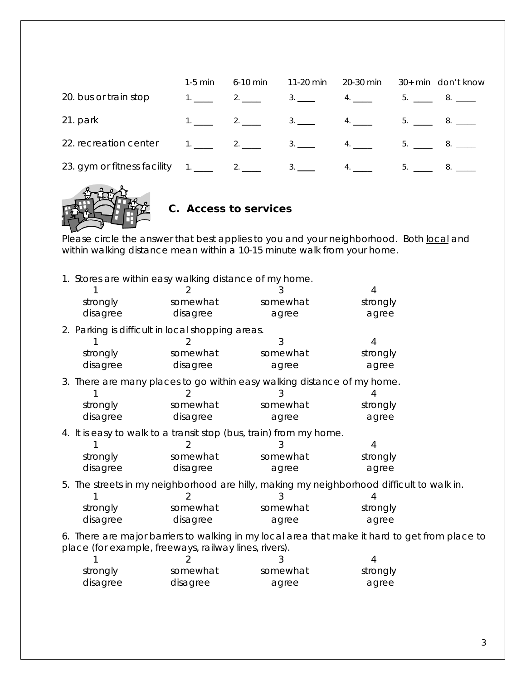|                             | $1-5$ min | 6-10 min         | 11-20 min 20-30 min |    | 30+ min don't know |
|-----------------------------|-----------|------------------|---------------------|----|--------------------|
| 20. bus or train stop       | $1.$ $2.$ |                  | 4.                  | 5. |                    |
| 21. park                    |           |                  | 4.                  |    | 5. 8.              |
| 22. recreation center       |           | $1.$ 2. 2. 3. 4. |                     |    | 5. 8.              |
| 23. gym or fitness facility |           |                  |                     |    |                    |



#### **C. Access to services**

*Please circle the answer that best applies to you and your neighborhood. Both local and within walking distance mean within a 10-15 minute walk from your home.* 

1. Stores are within easy walking distance of my home.

|                                                                                                |          | 2                                                                       | 3        | 4                                                                                         |  |
|------------------------------------------------------------------------------------------------|----------|-------------------------------------------------------------------------|----------|-------------------------------------------------------------------------------------------|--|
|                                                                                                | strongly | somewhat                                                                | somewhat | strongly                                                                                  |  |
|                                                                                                | disagree | disagree                                                                | agree    | agree                                                                                     |  |
|                                                                                                |          | 2. Parking is difficult in local shopping areas.                        |          |                                                                                           |  |
|                                                                                                |          |                                                                         | 3        | 4                                                                                         |  |
|                                                                                                | strongly | somewhat                                                                | somewhat | strongly                                                                                  |  |
|                                                                                                | disagree | disagree                                                                | agree    | agree                                                                                     |  |
|                                                                                                |          | 3. There are many places to go within easy walking distance of my home. |          |                                                                                           |  |
|                                                                                                |          |                                                                         |          |                                                                                           |  |
|                                                                                                | strongly | somewhat                                                                | somewhat | strongly                                                                                  |  |
|                                                                                                | disagree | disagree                                                                | agree    | agree                                                                                     |  |
|                                                                                                |          | 4. It is easy to walk to a transit stop (bus, train) from my home.      |          |                                                                                           |  |
|                                                                                                |          |                                                                         |          | 4                                                                                         |  |
|                                                                                                | strongly | somewhat                                                                | somewhat | strongly                                                                                  |  |
|                                                                                                | disagree | disagree                                                                | agree    | agree                                                                                     |  |
|                                                                                                |          |                                                                         |          | 5. The streets in my neighborhood are hilly, making my neighborhood difficult to walk in. |  |
|                                                                                                |          |                                                                         |          |                                                                                           |  |
|                                                                                                | strongly | somewhat                                                                | somewhat | strongly                                                                                  |  |
|                                                                                                | disagree | disagree                                                                | agree    | agree                                                                                     |  |
| 6. There are major barriers to walking in my local area that make it hard to get from place to |          |                                                                         |          |                                                                                           |  |
|                                                                                                |          | place (for example, freeways, railway lines, rivers).                   |          |                                                                                           |  |
|                                                                                                |          |                                                                         | 3        | 4                                                                                         |  |

| strongly | somewhat | somewhat | strongly |
|----------|----------|----------|----------|
| disagree | disagree | agree    | agree    |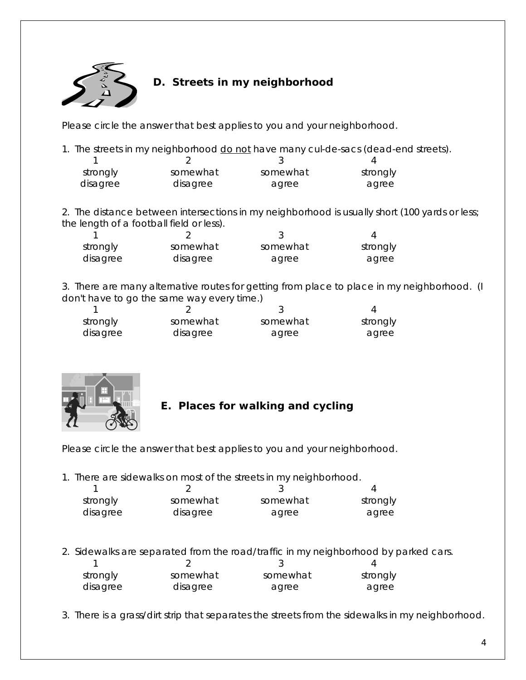

#### **D. Streets in my neighborhood**

*Please circle the answer that best applies to you and your neighborhood.*

1. The streets in my neighborhood do not have many cul-de-sacs (dead-end streets).

| strongly | somewhat | somewhat | strongly |
|----------|----------|----------|----------|
| disagree | disagree | agree    | agree    |

2. The distance between intersections in my neighborhood is usually short (100 yards or less; the length of a football field or less).

| strongly | somewhat | somewhat | strongly |
|----------|----------|----------|----------|
| disagree | disagree | agree    | agree    |

3. There are many alternative routes for getting from place to place in my neighborhood. (I don't have to go the same way every time.)

| strongly | somewhat | somewhat | strongly |
|----------|----------|----------|----------|
| disagree | disagree | agree    | agree    |



#### **E. Places for walking and cycling**

*Please circle the answer that best applies to you and your neighborhood.* 

1. There are sidewalks on most of the streets in my neighborhood.

| strongly | somewhat | somewhat | strongly |
|----------|----------|----------|----------|
| disagree | disagree | agree    | agree    |

2. Sidewalks are separated from the road/traffic in my neighborhood by parked cars.

| strongly | somewhat | somewhat | strongly |
|----------|----------|----------|----------|
| disagree | disagree | agree    | agree    |

3. There is a grass/dirt strip that separates the streets from the sidewalks in my neighborhood.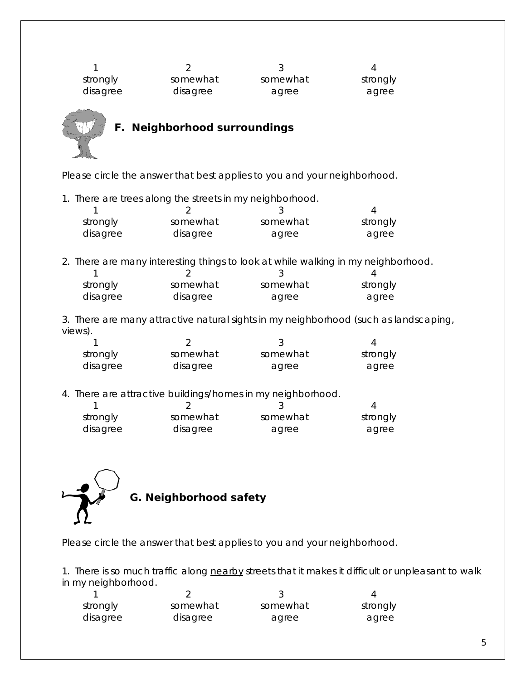1 2 3 4 strongly somewhat somewhat somewhat strongly disagree disagree agree agree agree



### **F. Neighborhood surroundings**

*Please circle the answer that best applies to you and your neighborhood.* 

1. There are trees along the streets in my neighborhood.

| strongly | somewhat | somewhat | strongly |
|----------|----------|----------|----------|
| disagree | disagree | agree    | agree    |

2. There are many interesting things to look at while walking in my neighborhood.

| strongly | somewhat | somewhat | strongly |
|----------|----------|----------|----------|
| disagree | disagree | agree    | agree    |

3. There are many attractive natural sights in my neighborhood (such as landscaping, views).

| strongly | somewhat | somewhat | strongly |
|----------|----------|----------|----------|
| disagree | disagree | agree    | agree    |

4. There are attractive buildings/homes in my neighborhood.

| strongly | somewhat | somewhat | strongly |
|----------|----------|----------|----------|
| disagree | disagree | agree    | agree    |



*Please circle the answer that best applies to you and your neighborhood.*

1. There is so much traffic along nearby streets that it makes it difficult or unpleasant to walk in my neighborhood.

| strongly | somewhat | somewhat | strongly |
|----------|----------|----------|----------|
| disagree | disagree | agree    | agree    |